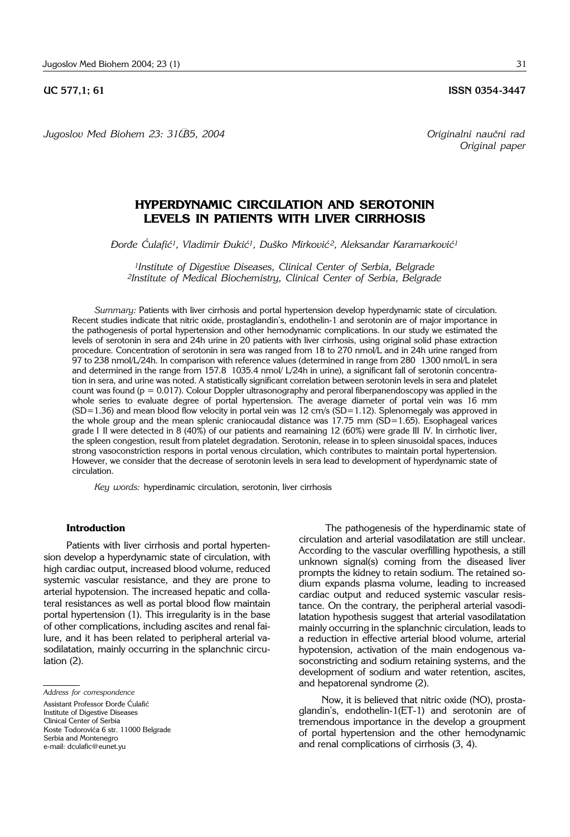*Jugoslov Med Biohem 23: 31–35, 2004 Originalni nau~ni rad*

*Original paper*

# **HYPERDYNAMIC CIRCULATION AND SEROTONIN LEVELS IN PATIENTS WITH LIVER CIRRHOSIS**

*\or|e ]ulafi}1, Vladimir \uki}1, Du{ko Mirkovi} 2, Aleksandar Karamarkovi}1*

*1Institute of Digestive Diseases, Clinical Center of Serbia, Belgrade 2Institute of Medical Biochemistry, Clinical Center of Serbia, Belgrade*

*Summary:* Patients with liver cirrhosis and portal hypertension develop hyperdynamic state of circulation. Recent studies indicate that nitric oxide, prostaglandin's, endothelin-1 and serotonin are of major importance in the pathogenesis of portal hypertension and other hemodynamic complications. In our study we estimated the levels of serotonin in sera and 24h urine in 20 patients with liver cirrhosis, using original solid phase extraction procedure. Concentration of serotonin in sera was ranged from 18 to 270 nmol/L and in 24h urine ranged from 97 to 238 nmol/L/24h. In comparison with reference values (determined in range from 280 '1300 nmol/L in sera and determined in the range from 157.8 1035.4 nmol/ L/24h in urine), a significant fall of serotonin concentration in sera, and urine was noted. A statistically significant correlation between serotonin levels in sera and platelet count was found ( $p = 0.017$ ). Colour Doppler ultrasonography and peroral fiberpanendoscopy was applied in the whole series to evaluate degree of portal hypertension. The average diameter of portal vein was 16 mm (SD=1.36) and mean blood flow velocity in portal vein was 12 cm/s (SD=1.12). Splenomegaly was approved in the whole group and the mean splenic craniocaudal distance was 17.75 mm (SD=1.65). Esophageal varices grade I II were detected in 8 (40%) of our patients and reamaining 12 (60%) were grade III IV. In cirrhotic liver, the spleen congestion, result from platelet degradation. Serotonin, release in to spleen sinusoidal spaces, induces strong vasoconstriction respons in portal venous circulation, which contributes to maintain portal hypertension. However, we consider that the decrease of serotonin levels in sera lead to development of hyperdynamic state of circulation.

*Key words:* hyperdinamic circulation, serotonin, liver cirrhosis

## **Introduction**

Patients with liver cirrhosis and portal hypertension develop a hyperdynamic state of circulation, with high cardiac output, increased blood volume, reduced systemic vascular resistance, and they are prone to arterial hypotension. The increased hepatic and collateral resistances as well as portal blood flow maintain portal hypertension (1). This irregularity is in the base of other complications, including ascites and renal failure, and it has been related to peripheral arterial vasodilatation, mainly occurring in the splanchnic circulation (2).

The pathogenesis of the hyperdinamic state of circulation and arterial vasodilatation are still unclear. According to the vascular overfilling hypothesis, a still unknown signal(s) coming from the diseased liver prompts the kidney to retain sodium. The retained sodium expands plasma volume, leading to increased cardiac output and reduced systemic vascular resistance. On the contrary, the peripheral arterial vasodilatation hypothesis suggest that arterial vasodilatation mainly occurring in the splanchnic circulation, leads to a reduction in effective arterial blood volume, arterial hypotension, activation of the main endogenous vasoconstricting and sodium retaining systems, and the development of sodium and water retention, ascites, and hepatorenal syndrome (2).

Now, it is believed that nitric oxide (NO), prostaglandin's, endothelin-1(ET-1) and serotonin are of tremendous importance in the develop a groupment of portal hypertension and the other hemodynamic and renal complications of cirrhosis (3, 4).

*Address for correspondence* Assistant Professor Đorđe Ćulafić Institute of Digestive Diseases Clinical Center of Serbia Koste Todorovića 6 str. 11000 Belgrade Serbia and Montenegro e-mail: dculafic@eunet.yu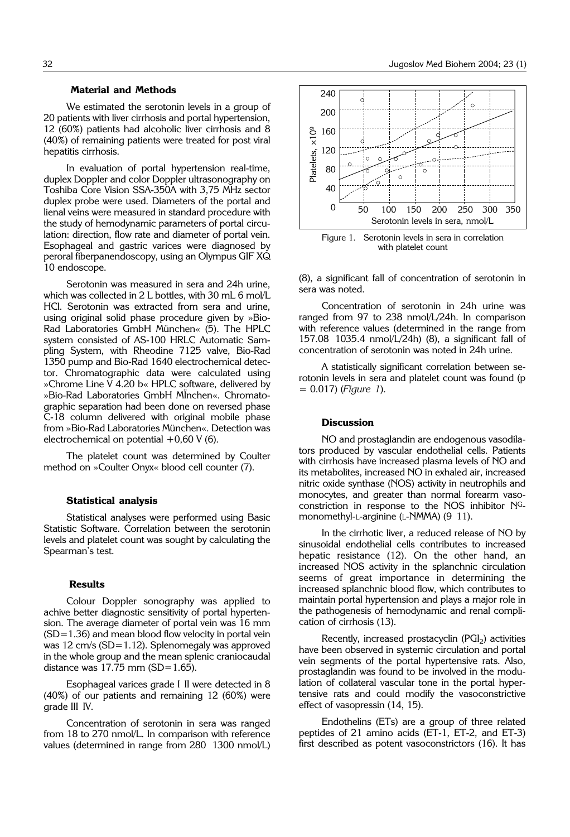We estimated the serotonin levels in a group of 20 patients with liver cirrhosis and portal hypertension, 12 (60%) patients had alcoholic liver cirrhosis and 8 (40%) of remaining patients were treated for post viral hepatitis cirrhosis.

In evaluation of portal hypertension real-time, duplex Doppler and color Doppler ultrasonography on Toshiba Core Vision SSA-350A with 3,75 MHz sector duplex probe were used. Diameters of the portal and lienal veins were measured in standard procedure with the study of hemodynamic parameters of portal circulation: direction, flow rate and diameter of portal vein. Esophageal and gastric varices were diagnosed by peroral fiberpanendoscopy, using an Olympus GIF XQ 10 endoscope.

Serotonin was measured in sera and 24h urine, which was collected in 2 L bottles, with 30 mL 6 mol/L HCl. Serotonin was extracted from sera and urine, using original solid phase procedure given by »Bio-Rad Laboratories GmbH München« (5). The HPLC system consisted of AS-100 HRLC Automatic Sampling System, with Rheodine 7125 valve, Bio-Rad 1350 pump and Bio-Rad 1640 electrochemical detector. Chromatographic data were calculated using »Chrome Line V 4.20 b« HPLC software, delivered by »Bio-Rad Laboratories GmbH München«. Chromatographic separation had been done on reversed phase C-18 column delivered with original mobile phase from »Bio-Rad Laboratories München«. Detection was electrochemical on potential  $+0,60$  V (6).

The platelet count was determined by Coulter method on »Coulter Onyx« blood cell counter (7).

#### **Statistical analysis**

Statistical analyses were performed using Basic Statistic Software. Correlation between the serotonin levels and platelet count was sought by calculating the Spearman's test.

#### **Results**

Colour Doppler sonography was applied to achive better diagnostic sensitivity of portal hypertension. The average diameter of portal vein was 16 mm (SD=1.36) and mean blood flow velocity in portal vein was 12 cm/s (SD=1.12). Splenomegaly was approved in the whole group and the mean splenic craniocaudal distance was  $17.75$  mm (SD=1.65).

Esophageal varices grade I II were detected in 8 (40%) of our patients and remaining 12 (60%) were grade III IV.

Concentration of serotonin in sera was ranged from 18 to 270 nmol/L. In comparison with reference values (determined in range from 280 1300 nmol/L)



Figure 1. Serotonin levels in sera in correlation with platelet count

(8), a significant fall of concentration of serotonin in sera was noted.

Concentration of serotonin in 24h urine was ranged from 97 to 238 nmol/L/24h. In comparison with reference values (determined in the range from 157.08 '1035.4 nmol/L/24h) (8), a significant fall of concentration of serotonin was noted in 24h urine.

A statistically significant correlation between serotonin levels in sera and platelet count was found (p = 0.017) (*Figure 1*).

## **Discussion**

NO and prostaglandin are endogenous vasodilators produced by vascular endothelial cells. Patients with cirrhosis have increased plasma levels of NO and its metabolites, increased NO in exhaled air, increased nitric oxide synthase (NOS) activity in neutrophils and monocytes, and greater than normal forearm vasoconstriction in response to the NOS inhibitor NGmonomethyl-L-arginine (L-NMMA) (9 11).

In the cirrhotic liver, a reduced release of NO by sinusoidal endothelial cells contributes to increased hepatic resistance (12). On the other hand, an increased NOS activity in the splanchnic circulation seems of great importance in determining the increased splanchnic blood flow, which contributes to maintain portal hypertension and plays a major role in the pathogenesis of hemodynamic and renal complication of cirrhosis (13).

Recently, increased prostacyclin (PGI<sub>2</sub>) activities have been observed in systemic circulation and portal vein segments of the portal hypertensive rats. Also, prostaglandin was found to be involved in the modulation of collateral vascular tone in the portal hypertensive rats and could modify the vasoconstrictive effect of vasopressin (14, 15).

Endothelins (ETs) are a group of three related peptides of 21 amino acids (ET-1, ET-2, and ET-3) first described as potent vasoconstrictors (16). It has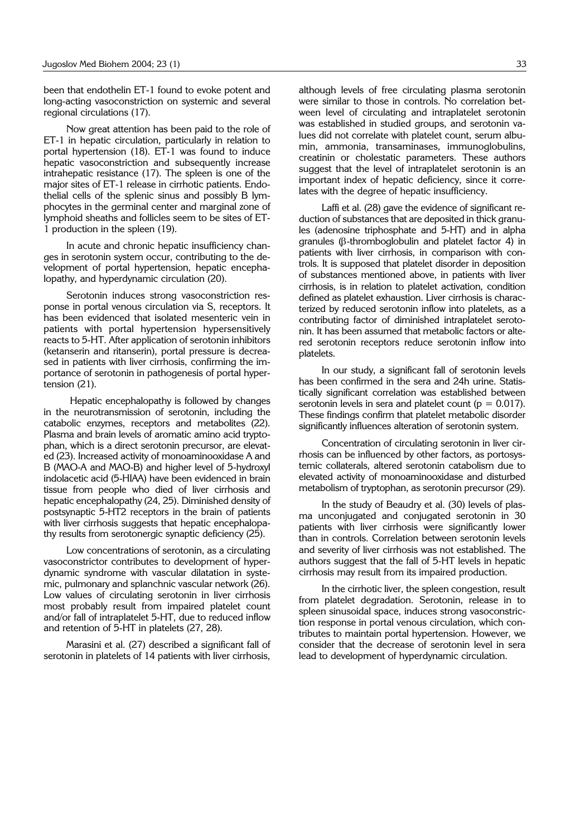been that endothelin ET-1 found to evoke potent and long-acting vasoconstriction on systemic and several regional circulations (17).

Now great attention has been paid to the role of ET-1 in hepatic circulation, particularly in relation to portal hypertension (18). ET-1 was found to induce hepatic vasoconstriction and subsequently increase intrahepatic resistance (17). The spleen is one of the major sites of ET-1 release in cirrhotic patients. Endothelial cells of the splenic sinus and possibly B lymphocytes in the germinal center and marginal zone of lymphoid sheaths and follicles seem to be sites of ET-1 production in the spleen (19).

In acute and chronic hepatic insufficiency changes in serotonin system occur, contributing to the development of portal hypertension, hepatic encephalopathy, and hyperdynamic circulation (20).

Serotonin induces strong vasoconstriction response in portal venous circulation via S, receptors. It has been evidenced that isolated mesenteric vein in patients with portal hypertension hypersensitively reacts to 5-HT. After application of serotonin inhibitors (ketanserin and ritanserin), portal pressure is decreased in patients with liver cirrhosis, confirming the importance of serotonin in pathogenesis of portal hypertension (21).

Hepatic encephalopathy is followed by changes in the neurotransmission of serotonin, including the catabolic enzymes, receptors and metabolites (22). Plasma and brain levels of aromatic amino acid tryptophan, which is a direct serotonin precursor, are elevated (23). Increased activity of monoaminooxidase A and B (MAO-A and MAO-B) and higher level of 5-hydroxyl indolacetic acid (5-HIAA) have been evidenced in brain tissue from people who died of liver cirrhosis and hepatic encephalopathy (24, 25). Diminished density of postsynaptic 5-HT2 receptors in the brain of patients with liver cirrhosis suggests that hepatic encephalopathy results from serotonergic synaptic deficiency (25).

Low concentrations of serotonin, as a circulating vasoconstrictor contributes to development of hyperdynamic syndrome with vascular dilatation in systemic, pulmonary and splanchnic vascular network (26). Low values of circulating serotonin in liver cirrhosis most probably result from impaired platelet count and/or fall of intraplatelet 5-HT, due to reduced inflow and retention of 5-HT in platelets (27, 28).

Marasini et al. (27) described a significant fall of serotonin in platelets of 14 patients with liver cirrhosis,

although levels of free circulating plasma serotonin were similar to those in controls. No correlation between level of circulating and intraplatelet serotonin was established in studied groups, and serotonin values did not correlate with platelet count, serum albumin, ammonia, transaminases, immunoglobulins, creatinin or cholestatic parameters. These authors suggest that the level of intraplatelet serotonin is an important index of hepatic deficiency, since it correlates with the degree of hepatic insufficiency.

Laffi et al. (28) gave the evidence of significant reduction of substances that are deposited in thick granules (adenosine triphosphate and 5-HT) and in alpha granules ( $\beta$ -thromboglobulin and platelet factor 4) in patients with liver cirrhosis, in comparison with controls. It is supposed that platelet disorder in deposition of substances mentioned above, in patients with liver cirrhosis, is in relation to platelet activation, condition defined as platelet exhaustion. Liver cirrhosis is characterized by reduced serotonin inflow into platelets, as a contributing factor of diminished intraplatelet serotonin. It has been assumed that metabolic factors or altered serotonin receptors reduce serotonin inflow into platelets.

In our study, a significant fall of serotonin levels has been confirmed in the sera and 24h urine. Statistically significant correlation was established between serotonin levels in sera and platelet count ( $p = 0.017$ ). These findings confirm that platelet metabolic disorder significantly influences alteration of serotonin system.

Concentration of circulating serotonin in liver cirrhosis can be influenced by other factors, as portosystemic collaterals, altered serotonin catabolism due to elevated activity of monoaminooxidase and disturbed metabolism of tryptophan, as serotonin precursor (29).

In the study of Beaudry et al. (30) levels of plasma unconjugated and conjugated serotonin in 30 patients with liver cirrhosis were significantly lower than in controls. Correlation between serotonin levels and severity of liver cirrhosis was not established. The authors suggest that the fall of 5-HT levels in hepatic cirrhosis may result from its impaired production.

In the cirrhotic liver, the spleen congestion, result from platelet degradation. Serotonin, release in to spleen sinusoidal space, induces strong vasoconstriction response in portal venous circulation, which contributes to maintain portal hypertension. However, we consider that the decrease of serotonin level in sera lead to development of hyperdynamic circulation.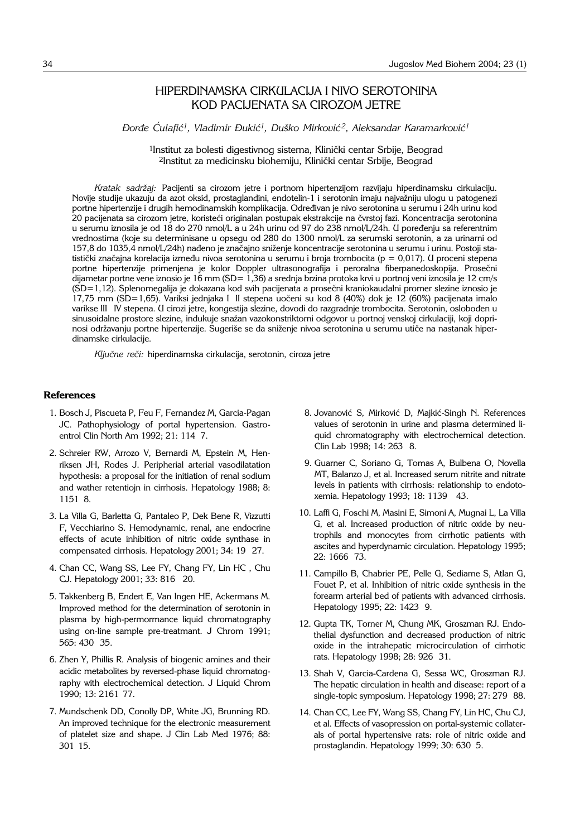## HIPERDINAMSKA CIRKULACIJA I NIVO SEROTONINA KOD PACIJENATA SA CIROZOM JETRE

*\or|e ]ulafi}1, Vladimir \uki}1, Du{ko Mirkovi} 2, Aleksandar Karamarkovi}1*

<sup>1</sup>Institut za bolesti digestivnog sistema, Klinički centar Srbije, Beograd <sup>2</sup>Institut za medicinsku biohemiju, Klinički centar Srbije, Beograd

*Kratak sadr`aj:* Pacijenti sa cirozom jetre i portnom hipertenzijom razvijaju hiperdinamsku cirkulaciju. Novije studije ukazuju da azot oksid, prostaglandini, endotelin-1 i serotonin imaju najva`niju ulogu u patogenezi portne hipertenzije i drugih hemodinamskih komplikacija. Određivan je nivo serotonina u serumu i 24h urinu kod 20 pacijenata sa cirozom jetre, koristeći originalan postupak ekstrakcije na čvrstoj fazi. Koncentracija serotonina u serumu iznosila je od 18 do 270 nmol/L a u 24h urinu od 97 do 238 nmol/L/24h. U poređenju sa referentnim vrednostima (koje su determinisane u opsegu od 280 do 1300 nmol/L za serumski serotonin, a za urinarni od 157,8 do 1035,4 nmol/L/24h) nađeno je značajno sniženje koncentracije serotonina u serumu i urinu. Postoji statistički značajna korelacija između nivoa serotonina u serumu i broja trombocita (p = 0,017). U proceni stepena portne hipertenzije primenjena je kolor Doppler ultrasonografija i peroralna fiberpanedoskopija. Prosečni dijametar portne vene iznosio je 16 mm (SD= 1,36) a srednja brzina protoka krvi u portnoj veni iznosila je 12 cm/s (SD=1,12). Splenomegalija je dokazana kod svih pacijenata a prosečni kraniokaudalni promer slezine iznosio je 17,75 mm (SD=1,65). Variksi jednjaka I II stepena uočeni su kod 8 (40%) dok je 12 (60%) pacijenata imalo varikse III IV stepena. U cirozi jetre, kongestija slezine, dovodi do razgradnje trombocita. Serotonin, oslobođen u sinusoidalne prostore slezine, indukuje sna`an vazokonstriktorni odgovor u portnoj venskoj cirkulaciji, koji doprinosi održavanju portne hipertenzije. Sugeriše se da sniženje nivoa serotonina u serumu utiče na nastanak hiperdinamske cirkulacije.

Ključne reči: hiperdinamska cirkulacija, serotonin, ciroza jetre

#### **References**

- 1. Bosch J, Piscueta P, Feu F, Fernandez M, Garcia-Pagan JC. Pathophysiology of portal hypertension. Gastroentrol Clin North Am 1992; 21: 114 7.
- 2. Schreier RW, Arrozo V, Bernardi M, Epstein M, Henriksen JH, Rodes J. Peripherial arterial vasodilatation hypothesis: a proposal for the initiation of renal sodium and wather retentiojn in cirrhosis. Hepatology 1988; 8: 1151'8.
- 3. La Villa G, Barletta G, Pantaleo P, Dek Bene R, Vizzutti F, Vecchiarino S. Hemodynamic, renal, ane endocrine effects of acute inhibition of nitric oxide synthase in compensated cirrhosis. Hepatology 2001; 34: 19 27.
- 4. Chan CC, Wang SS, Lee FY, Chang FY, Lin HC , Chu CJ. Hepatology 2001; 33: 816 20.
- 5. Takkenberg B, Endert E, Van Ingen HE, Ackermans M. Improved method for the determination of serotonin in plasma by high-permormance liquid chromatography using on-line sample pre-treatmant. J Chrom 1991; 565: 430 35.
- 6. Zhen Y, Phillis R. Analysis of biogenic amines and their acidic metabolites by reversed-phase liquid chromatography with electrochemical detection. J Liquid Chrom 1990; 13: 2161 77.
- 7. Mundschenk DD, Conolly DP, White JG, Brunning RD. An improved technique for the electronic measurement of platelet size and shape. J Clin Lab Med 1976; 88: 301'15.
- 8. Jovanović S, Mirković D, Majkić-Singh N. References values of serotonin in urine and plasma determined liquid chromatography with electrochemical detection. Clin Lab 1998; 14: 263 8.
- 9. Guarner C, Soriano G, Tomas A, Bulbena O, Novella MT, Balanzo J, et al. Increased serum nitrite and nitrate levels in patients with cirrhosis: relationship to endotoxemia. Hepatology 1993; 18: 1139 43.
- 10. Laffi G, Foschi M, Masini E, Simoni A, Mugnai L, La Villa G, et al. Increased production of nitric oxide by neutrophils and monocytes from cirrhotic patients with ascites and hyperdynamic circulation. Hepatology 1995; 22: 1666'73.
- 11. Campillo B, Chabrier PE, Pelle G, Sediame S, Atlan G, Fouet P, et al. Inhibition of nitric oxide synthesis in the forearm arterial bed of patients with advanced cirrhosis. Hepatology 1995; 22: 1423 9.
- 12. Gupta TK, Torner M, Chung MK, Groszman RJ. Endothelial dysfunction and decreased production of nitric oxide in the intrahepatic microcirculation of cirrhotic rats. Hepatology 1998; 28: 926 31.
- 13. Shah V, Garcia-Cardena G, Sessa WC, Groszman RJ. The hepatic circulation in health and disease: report of a single-topic symposium. Hepatology 1998; 27: 279 88.
- 14. Chan CC, Lee FY, Wang SS, Chang FY, Lin HC, Chu CJ, et al. Effects of vasopression on portal-systemic collaterals of portal hypertensive rats: role of nitric oxide and prostaglandin. Hepatology 1999; 30: 630 5.